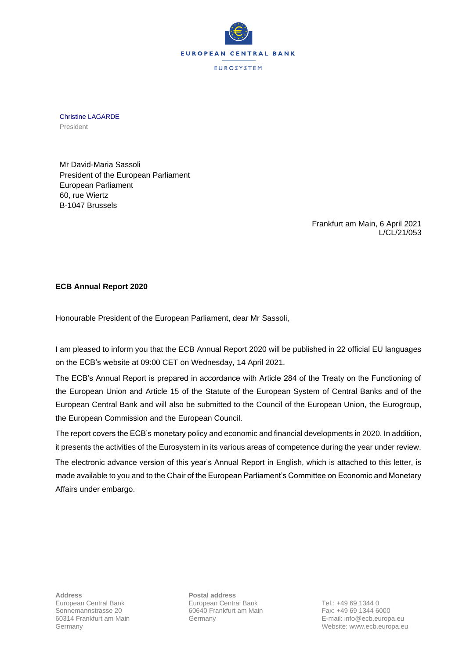

Christine LAGARDE President

Mr David-Maria Sassoli President of the European Parliament European Parliament 60, rue Wiertz B-1047 Brussels

> Frankfurt am Main, 6 April 2021 L/CL/21/053

## **ECB Annual Report 2020**

Honourable President of the European Parliament, dear Mr Sassoli,

I am pleased to inform you that the ECB Annual Report 2020 will be published in 22 official EU languages on the ECB's website at 09:00 CET on Wednesday, 14 April 2021.

The ECB's Annual Report is prepared in accordance with Article 284 of the Treaty on the Functioning of the European Union and Article 15 of the Statute of the European System of Central Banks and of the European Central Bank and will also be submitted to the Council of the European Union, the Eurogroup, the European Commission and the European Council.

The report covers the ECB's monetary policy and economic and financial developments in 2020. In addition, it presents the activities of the Eurosystem in its various areas of competence during the year under review.

The electronic advance version of this year's Annual Report in English, which is attached to this letter, is made available to you and to the Chair of the European Parliament's Committee on Economic and Monetary Affairs under embargo.

**Address Postal address**

European Central Bank Tel.: +49 69 1344 0 Sonnemannstrasse 20 60640 Frankfurt am Main Fax: +49 69 1344 6000

60314 Frankfurt am Main Germany E-mail: info@ecb.europa.eu Germany Website: www.ecb.europa.eu